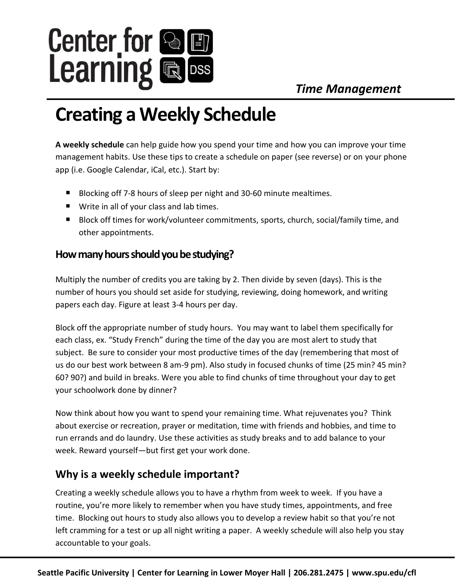*Time Management*



## **Creating a Weekly Schedule**

**A weekly schedule** can help guide how you spend your time and how you can improve your time management habits. Use these tips to create a schedule on paper (see reverse) or on your phone app (i.e. Google Calendar, iCal, etc.). Start by:

- Blocking off 7-8 hours of sleep per night and 30-60 minute mealtimes.
- Write in all of your class and lab times.
- Block off times for work/volunteer commitments, sports, church, social/family time, and other appointments.

## **How many hours should you be studying?**

Multiply the number of credits you are taking by 2. Then divide by seven (days). This is the number of hours you should set aside for studying, reviewing, doing homework, and writing papers each day. Figure at least 3-4 hours per day.

Block off the appropriate number of study hours. You may want to label them specifically for each class, ex. "Study French" during the time of the day you are most alert to study that subject. Be sure to consider your most productive times of the day (remembering that most of us do our best work between 8 am-9 pm). Also study in focused chunks of time (25 min? 45 min? 60? 90?) and build in breaks. Were you able to find chunks of time throughout your day to get your schoolwork done by dinner?

Now think about how you want to spend your remaining time. What rejuvenates you? Think about exercise or recreation, prayer or meditation, time with friends and hobbies, and time to run errands and do laundry. Use these activities as study breaks and to add balance to your week. Reward yourself—but first get your work done.

## **Why is a weekly schedule important?**

Creating a weekly schedule allows you to have a rhythm from week to week. If you have a routine, you're more likely to remember when you have study times, appointments, and free time. Blocking out hours to study also allows you to develop a review habit so that you're not left cramming for a test or up all night writing a paper. A weekly schedule will also help you stay accountable to your goals.